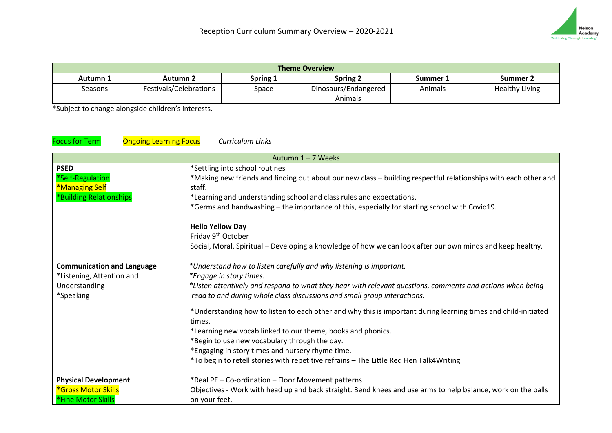

| <b>Theme Overview</b> |                        |          |                      |          |                       |
|-----------------------|------------------------|----------|----------------------|----------|-----------------------|
| Autumn 1              | Autumn 2               | Spring 1 | <b>Spring 2</b>      | Summer 1 | Summer 2              |
| Seasons               | Festivals/Celebrations | Space    | Dinosaurs/Endangered | Animals  | <b>Healthy Living</b> |
|                       |                        |          | Animals              |          |                       |

\*Subject to change alongside children's interests.

## Focus for Term Ongoing Learning Focus *Curriculum Links*

|                                   | Autumn 1-7 Weeks                                                                                                |
|-----------------------------------|-----------------------------------------------------------------------------------------------------------------|
| <b>PSED</b>                       | *Settling into school routines                                                                                  |
| *Self-Regulation                  | *Making new friends and finding out about our new class - building respectful relationships with each other and |
| *Managing Self                    | staff.                                                                                                          |
| *Building Relationships           | *Learning and understanding school and class rules and expectations.                                            |
|                                   | *Germs and handwashing - the importance of this, especially for starting school with Covid19.                   |
|                                   | <b>Hello Yellow Day</b>                                                                                         |
|                                   | Friday 9 <sup>th</sup> October                                                                                  |
|                                   | Social, Moral, Spiritual - Developing a knowledge of how we can look after our own minds and keep healthy.      |
| <b>Communication and Language</b> | *Understand how to listen carefully and why listening is important.                                             |
| *Listening, Attention and         | *Engage in story times.                                                                                         |
| Understanding                     | *Listen attentively and respond to what they hear with relevant questions, comments and actions when being      |
| *Speaking                         | read to and during whole class discussions and small group interactions.                                        |
|                                   | *Understanding how to listen to each other and why this is important during learning times and child-initiated  |
|                                   | times.                                                                                                          |
|                                   | *Learning new vocab linked to our theme, books and phonics.                                                     |
|                                   | *Begin to use new vocabulary through the day.                                                                   |
|                                   | *Engaging in story times and nursery rhyme time.                                                                |
|                                   | *To begin to retell stories with repetitive refrains - The Little Red Hen Talk4Writing                          |
| <b>Physical Development</b>       | *Real PE - Co-ordination - Floor Movement patterns                                                              |
| *Gross Motor Skills               | Objectives - Work with head up and back straight. Bend knees and use arms to help balance, work on the balls    |
| <b>*Fine Motor Skills</b>         | on your feet.                                                                                                   |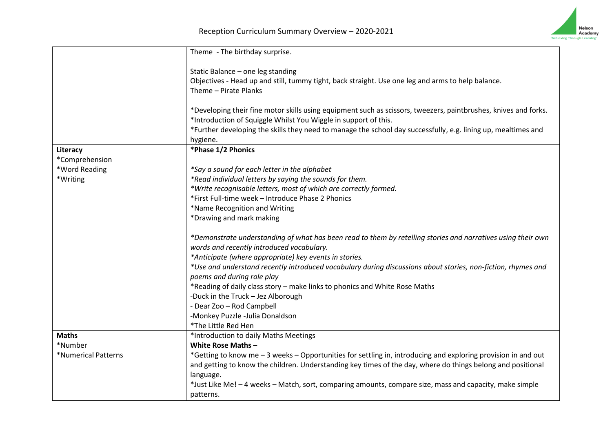

|                     | Theme - The birthday surprise.                                                                                                             |
|---------------------|--------------------------------------------------------------------------------------------------------------------------------------------|
|                     | Static Balance - one leg standing                                                                                                          |
|                     | Objectives - Head up and still, tummy tight, back straight. Use one leg and arms to help balance.                                          |
|                     | Theme - Pirate Planks                                                                                                                      |
|                     |                                                                                                                                            |
|                     | *Developing their fine motor skills using equipment such as scissors, tweezers, paintbrushes, knives and forks.                            |
|                     | *Introduction of Squiggle Whilst You Wiggle in support of this.                                                                            |
|                     | *Further developing the skills they need to manage the school day successfully, e.g. lining up, mealtimes and                              |
|                     | hygiene.                                                                                                                                   |
| Literacy            | *Phase 1/2 Phonics                                                                                                                         |
| *Comprehension      |                                                                                                                                            |
| *Word Reading       | *Say a sound for each letter in the alphabet                                                                                               |
| *Writing            | *Read individual letters by saying the sounds for them.                                                                                    |
|                     | *Write recognisable letters, most of which are correctly formed.                                                                           |
|                     | *First Full-time week - Introduce Phase 2 Phonics                                                                                          |
|                     | *Name Recognition and Writing                                                                                                              |
|                     | *Drawing and mark making                                                                                                                   |
|                     | *Demonstrate understanding of what has been read to them by retelling stories and narratives using their own                               |
|                     | words and recently introduced vocabulary.                                                                                                  |
|                     | *Anticipate (where appropriate) key events in stories.                                                                                     |
|                     | *Use and understand recently introduced vocabulary during discussions about stories, non-fiction, rhymes and<br>poems and during role play |
|                     | *Reading of daily class story - make links to phonics and White Rose Maths                                                                 |
|                     | -Duck in the Truck - Jez Alborough                                                                                                         |
|                     | - Dear Zoo - Rod Campbell                                                                                                                  |
|                     | -Monkey Puzzle -Julia Donaldson                                                                                                            |
|                     | *The Little Red Hen                                                                                                                        |
| <b>Maths</b>        | *Introduction to daily Maths Meetings                                                                                                      |
| *Number             | <b>White Rose Maths-</b>                                                                                                                   |
| *Numerical Patterns | *Getting to know me - 3 weeks - Opportunities for settling in, introducing and exploring provision in and out                              |
|                     | and getting to know the children. Understanding key times of the day, where do things belong and positional                                |
|                     | language.                                                                                                                                  |
|                     | *Just Like Me! -4 weeks - Match, sort, comparing amounts, compare size, mass and capacity, make simple                                     |
|                     | patterns.                                                                                                                                  |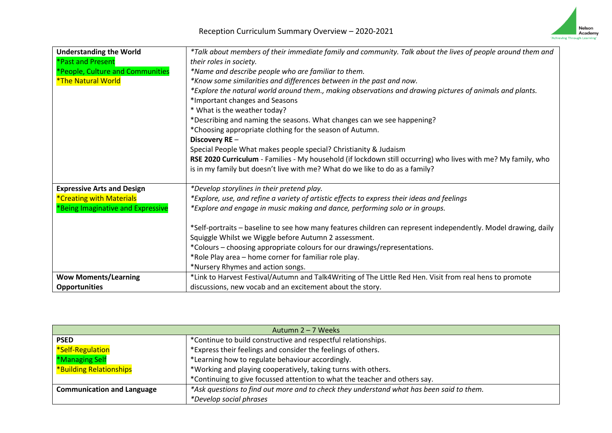

| <b>Understanding the World</b>         | *Talk about members of their immediate family and community. Talk about the lives of people around them and    |
|----------------------------------------|----------------------------------------------------------------------------------------------------------------|
| <b>*Past and Present</b>               | their roles in society.                                                                                        |
| *People, Culture and Communities       | *Name and describe people who are familiar to them.                                                            |
| <i><b>*The Natural World</b></i>       | *Know some similarities and differences between in the past and now.                                           |
|                                        | *Explore the natural world around them., making observations and drawing pictures of animals and plants.       |
|                                        | *Important changes and Seasons                                                                                 |
|                                        | * What is the weather today?                                                                                   |
|                                        | *Describing and naming the seasons. What changes can we see happening?                                         |
|                                        | *Choosing appropriate clothing for the season of Autumn.                                                       |
|                                        | Discovery RE-                                                                                                  |
|                                        | Special People What makes people special? Christianity & Judaism                                               |
|                                        | RSE 2020 Curriculum - Families - My household (if lockdown still occurring) who lives with me? My family, who  |
|                                        | is in my family but doesn't live with me? What do we like to do as a family?                                   |
|                                        |                                                                                                                |
| <b>Expressive Arts and Design</b>      | *Develop storylines in their pretend play.                                                                     |
| <i><b>*Creating with Materials</b></i> | *Explore, use, and refine a variety of artistic effects to express their ideas and feelings                    |
| *Being Imaginative and Expressive      | *Explore and engage in music making and dance, performing solo or in groups.                                   |
|                                        |                                                                                                                |
|                                        | *Self-portraits – baseline to see how many features children can represent independently. Model drawing, daily |
|                                        | Squiggle Whilst we Wiggle before Autumn 2 assessment.                                                          |
|                                        | *Colours – choosing appropriate colours for our drawings/representations.                                      |
|                                        | *Role Play area - home corner for familiar role play.                                                          |
|                                        | *Nursery Rhymes and action songs.                                                                              |
| <b>Wow Moments/Learning</b>            | *Link to Harvest Festival/Autumn and Talk4Writing of The Little Red Hen. Visit from real hens to promote       |
| <b>Opportunities</b>                   | discussions, new vocab and an excitement about the story.                                                      |

| Autumn 2 – 7 Weeks                |                                                                                          |  |
|-----------------------------------|------------------------------------------------------------------------------------------|--|
| <b>PSED</b>                       | *Continue to build constructive and respectful relationships.                            |  |
| *Self-Regulation                  | *Express their feelings and consider the feelings of others.                             |  |
| *Managing Self                    | *Learning how to regulate behaviour accordingly.                                         |  |
| <b>*Building Relationships</b>    | *Working and playing cooperatively, taking turns with others.                            |  |
|                                   | *Continuing to give focussed attention to what the teacher and others say.               |  |
| <b>Communication and Language</b> | *Ask questions to find out more and to check they understand what has been said to them. |  |
|                                   | <i>*Develop social phrases</i>                                                           |  |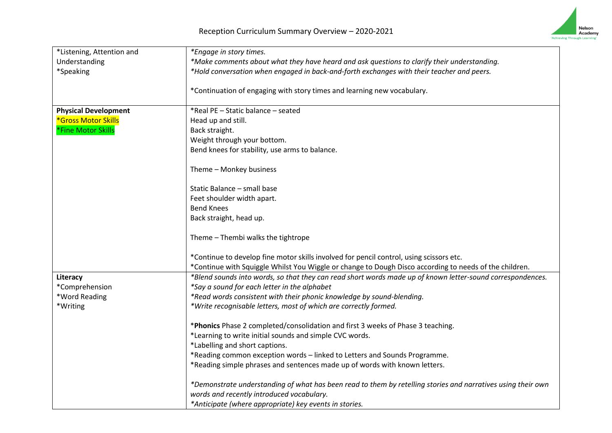

| *Listening, Attention and   | *Engage in story times.                                                                                      |
|-----------------------------|--------------------------------------------------------------------------------------------------------------|
| Understanding               | *Make comments about what they have heard and ask questions to clarify their understanding.                  |
| *Speaking                   | *Hold conversation when engaged in back-and-forth exchanges with their teacher and peers.                    |
|                             |                                                                                                              |
|                             | *Continuation of engaging with story times and learning new vocabulary.                                      |
| <b>Physical Development</b> | *Real PE - Static balance - seated                                                                           |
| <b>*Gross Motor Skills</b>  | Head up and still.                                                                                           |
| *Fine Motor Skills          | Back straight.                                                                                               |
|                             | Weight through your bottom.                                                                                  |
|                             | Bend knees for stability, use arms to balance.                                                               |
|                             | Theme - Monkey business                                                                                      |
|                             |                                                                                                              |
|                             | Static Balance - small base                                                                                  |
|                             | Feet shoulder width apart.                                                                                   |
|                             | <b>Bend Knees</b>                                                                                            |
|                             | Back straight, head up.                                                                                      |
|                             | Theme - Thembi walks the tightrope                                                                           |
|                             | *Continue to develop fine motor skills involved for pencil control, using scissors etc.                      |
|                             | *Continue with Squiggle Whilst You Wiggle or change to Dough Disco according to needs of the children.       |
| Literacy                    | *Blend sounds into words, so that they can read short words made up of known letter-sound correspondences.   |
| *Comprehension              | *Say a sound for each letter in the alphabet                                                                 |
| *Word Reading               | *Read words consistent with their phonic knowledge by sound-blending.                                        |
| *Writing                    | *Write recognisable letters, most of which are correctly formed.                                             |
|                             | *Phonics Phase 2 completed/consolidation and first 3 weeks of Phase 3 teaching.                              |
|                             | *Learning to write initial sounds and simple CVC words.                                                      |
|                             | *Labelling and short captions.                                                                               |
|                             | *Reading common exception words - linked to Letters and Sounds Programme.                                    |
|                             | *Reading simple phrases and sentences made up of words with known letters.                                   |
|                             | *Demonstrate understanding of what has been read to them by retelling stories and narratives using their own |
|                             | words and recently introduced vocabulary.                                                                    |
|                             | *Anticipate (where appropriate) key events in stories.                                                       |
|                             |                                                                                                              |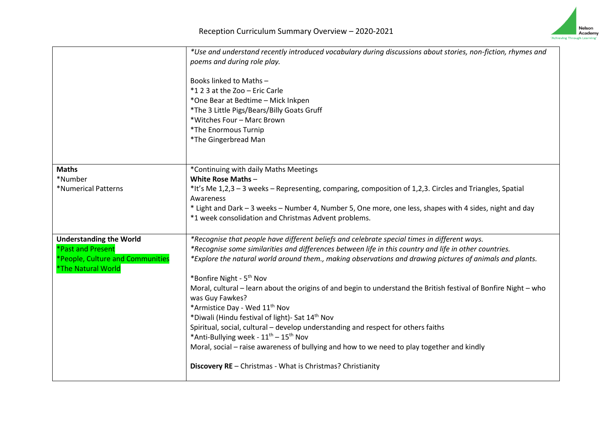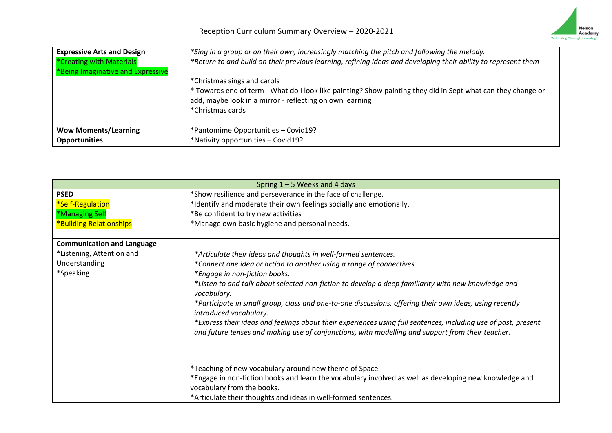

| <b>Expressive Arts and Design</b><br>*Creating with Materials<br>*Being Imaginative and Expressive | *Sing in a group or on their own, increasingly matching the pitch and following the melody.<br>*Return to and build on their previous learning, refining ideas and developing their ability to represent them<br>*Christmas sings and carols<br>* Towards end of term - What do I look like painting? Show painting they did in Sept what can they change or<br>add, maybe look in a mirror - reflecting on own learning<br>*Christmas cards |
|----------------------------------------------------------------------------------------------------|----------------------------------------------------------------------------------------------------------------------------------------------------------------------------------------------------------------------------------------------------------------------------------------------------------------------------------------------------------------------------------------------------------------------------------------------|
| <b>Wow Moments/Learning</b>                                                                        | *Pantomime Opportunities - Covid19?                                                                                                                                                                                                                                                                                                                                                                                                          |
| <b>Opportunities</b>                                                                               | *Nativity opportunities - Covid19?                                                                                                                                                                                                                                                                                                                                                                                                           |

| Spring $1 - 5$ Weeks and 4 days   |                                                                                                                                   |  |
|-----------------------------------|-----------------------------------------------------------------------------------------------------------------------------------|--|
| <b>PSED</b>                       | *Show resilience and perseverance in the face of challenge.                                                                       |  |
| *Self-Regulation                  | *Identify and moderate their own feelings socially and emotionally.                                                               |  |
| *Managing Self                    | *Be confident to try new activities                                                                                               |  |
| *Building Relationships           | *Manage own basic hygiene and personal needs.                                                                                     |  |
| <b>Communication and Language</b> |                                                                                                                                   |  |
| *Listening, Attention and         | *Articulate their ideas and thoughts in well-formed sentences.                                                                    |  |
| Understanding                     | *Connect one idea or action to another using a range of connectives.                                                              |  |
| *Speaking                         | *Engage in non-fiction books.                                                                                                     |  |
|                                   | *Listen to and talk about selected non-fiction to develop a deep familiarity with new knowledge and<br>vocabulary.                |  |
|                                   | *Participate in small group, class and one-to-one discussions, offering their own ideas, using recently<br>introduced vocabulary. |  |
|                                   | *Express their ideas and feelings about their experiences using full sentences, including use of past, present                    |  |
|                                   | and future tenses and making use of conjunctions, with modelling and support from their teacher.                                  |  |
|                                   |                                                                                                                                   |  |
|                                   | *Teaching of new vocabulary around new theme of Space                                                                             |  |
|                                   | *Engage in non-fiction books and learn the vocabulary involved as well as developing new knowledge and                            |  |
|                                   | vocabulary from the books.                                                                                                        |  |
|                                   | *Articulate their thoughts and ideas in well-formed sentences.                                                                    |  |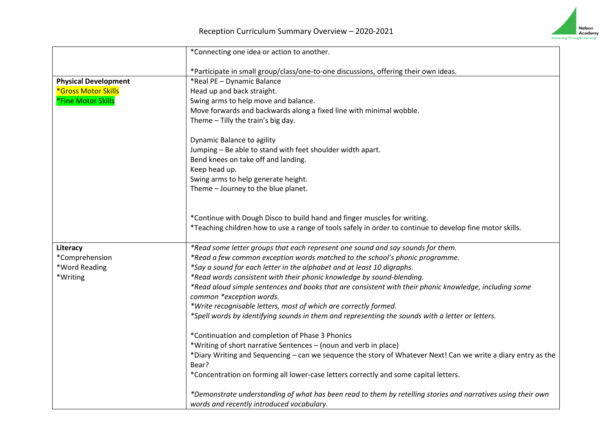

|                             | *Connecting one idea or action to another.                                                                    |
|-----------------------------|---------------------------------------------------------------------------------------------------------------|
|                             | *Participate in small group/class/one-to-one discussions, offering their own ideas.                           |
| <b>Physical Development</b> | *Real PE - Dynamic Balance                                                                                    |
| *Gross Motor Skills         | Head up and back straight.                                                                                    |
| *Fine Motor Skills          | Swing arms to help move and balance.                                                                          |
|                             | Move forwards and backwards along a fixed line with minimal wobble.                                           |
|                             | Theme - Tilly the train's big day.                                                                            |
|                             | Dynamic Balance to agility                                                                                    |
|                             | Jumping - Be able to stand with feet shoulder width apart.                                                    |
|                             | Bend knees on take off and landing.                                                                           |
|                             | Keep head up.                                                                                                 |
|                             | Swing arms to help generate height.                                                                           |
|                             | Theme - Journey to the blue planet.                                                                           |
|                             | *Continue with Dough Disco to build hand and finger muscles for writing.                                      |
|                             | *Teaching children how to use a range of tools safely in order to continue to develop fine motor skills.      |
|                             |                                                                                                               |
| Literacy                    | *Read some letter groups that each represent one sound and say sounds for them.                               |
| *Comprehension              | *Read a few common exception words matched to the school's phonic programme.                                  |
| *Word Reading               | *Say a sound for each letter in the alphabet and at least 10 digraphs.                                        |
| *Writing                    | *Read words consistent with their phonic knowledge by sound-blending.                                         |
|                             | *Read aloud simple sentences and books that are consistent with their phonic knowledge, including some        |
|                             | common *exception words.                                                                                      |
|                             | *Write recognisable letters, most of which are correctly formed.                                              |
|                             | *Spell words by identifying sounds in them and representing the sounds with a letter or letters.              |
|                             | *Continuation and completion of Phase 3 Phonics                                                               |
|                             | *Writing of short narrative Sentences - (noun and verb in place)                                              |
|                             | *Diary Writing and Sequencing - can we sequence the story of Whatever Next! Can we write a diary entry as the |
|                             | Bear?                                                                                                         |
|                             | *Concentration on forming all lower-case letters correctly and some capital letters.                          |
|                             | *Demonstrate understanding of what has been read to them by retelling stories and narratives using their own  |
|                             | words and recently introduced vocabulary.                                                                     |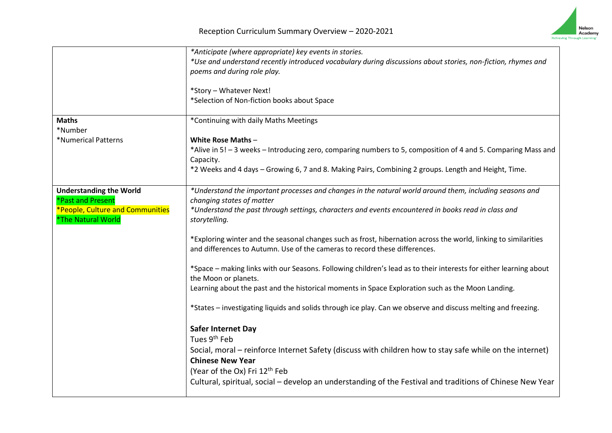

|                                                        | *Anticipate (where appropriate) key events in stories.                                                                                                                                        |
|--------------------------------------------------------|-----------------------------------------------------------------------------------------------------------------------------------------------------------------------------------------------|
|                                                        | *Use and understand recently introduced vocabulary during discussions about stories, non-fiction, rhymes and<br>poems and during role play.                                                   |
|                                                        | *Story - Whatever Next!<br>*Selection of Non-fiction books about Space                                                                                                                        |
|                                                        |                                                                                                                                                                                               |
| <b>Maths</b><br>*Number                                | *Continuing with daily Maths Meetings                                                                                                                                                         |
| *Numerical Patterns                                    | <b>White Rose Maths-</b>                                                                                                                                                                      |
|                                                        | *Alive in 5! - 3 weeks - Introducing zero, comparing numbers to 5, composition of 4 and 5. Comparing Mass and<br>Capacity.                                                                    |
|                                                        | *2 Weeks and 4 days - Growing 6, 7 and 8. Making Pairs, Combining 2 groups. Length and Height, Time.                                                                                          |
| <b>Understanding the World</b>                         | *Understand the important processes and changes in the natural world around them, including seasons and                                                                                       |
| *Past and Present                                      | changing states of matter                                                                                                                                                                     |
| *People, Culture and Communities<br>*The Natural World | *Understand the past through settings, characters and events encountered in books read in class and<br>storytelling.                                                                          |
|                                                        | *Exploring winter and the seasonal changes such as frost, hibernation across the world, linking to similarities<br>and differences to Autumn. Use of the cameras to record these differences. |
|                                                        | *Space - making links with our Seasons. Following children's lead as to their interests for either learning about<br>the Moon or planets.                                                     |
|                                                        | Learning about the past and the historical moments in Space Exploration such as the Moon Landing.                                                                                             |
|                                                        | *States - investigating liquids and solids through ice play. Can we observe and discuss melting and freezing.                                                                                 |
|                                                        | <b>Safer Internet Day</b>                                                                                                                                                                     |
|                                                        | Tues 9 <sup>th</sup> Feb                                                                                                                                                                      |
|                                                        | Social, moral – reinforce Internet Safety (discuss with children how to stay safe while on the internet)                                                                                      |
|                                                        | <b>Chinese New Year</b>                                                                                                                                                                       |
|                                                        | (Year of the Ox) Fri 12 <sup>th</sup> Feb                                                                                                                                                     |
|                                                        | Cultural, spiritual, social - develop an understanding of the Festival and traditions of Chinese New Year                                                                                     |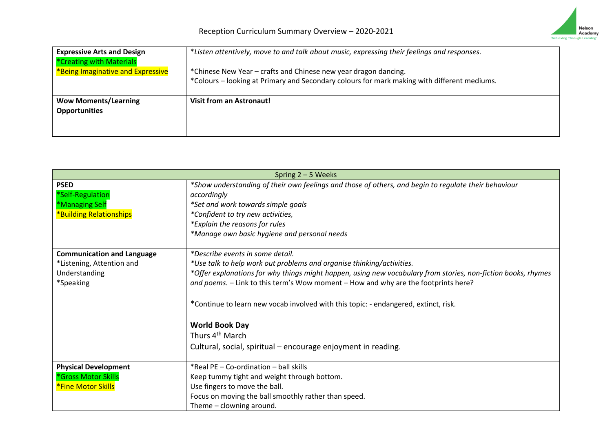

| <b>Expressive Arts and Design</b><br>*Creating with Materials | *Listen attentively, move to and talk about music, expressing their feelings and responses.                                                                    |
|---------------------------------------------------------------|----------------------------------------------------------------------------------------------------------------------------------------------------------------|
| *Being Imaginative and Expressive                             | *Chinese New Year – crafts and Chinese new year dragon dancing.<br>*Colours - looking at Primary and Secondary colours for mark making with different mediums. |
| <b>Wow Moments/Learning</b><br><b>Opportunities</b>           | Visit from an Astronaut!                                                                                                                                       |

| Spring $2 - 5$ Weeks                                                                                          |
|---------------------------------------------------------------------------------------------------------------|
| *Show understanding of their own feelings and those of others, and begin to regulate their behaviour          |
| accordingly                                                                                                   |
| *Set and work towards simple goals                                                                            |
| *Confident to try new activities,                                                                             |
| *Explain the reasons for rules                                                                                |
| *Manage own basic hygiene and personal needs                                                                  |
| *Describe events in some detail.                                                                              |
| *Use talk to help work out problems and organise thinking/activities.                                         |
| *Offer explanations for why things might happen, using new vocabulary from stories, non-fiction books, rhymes |
| and poems. - Link to this term's Wow moment - How and why are the footprints here?                            |
| *Continue to learn new vocab involved with this topic: - endangered, extinct, risk.                           |
| <b>World Book Day</b>                                                                                         |
| Thurs 4 <sup>th</sup> March                                                                                   |
| Cultural, social, spiritual - encourage enjoyment in reading.                                                 |
| *Real PE - Co-ordination - ball skills                                                                        |
| Keep tummy tight and weight through bottom.                                                                   |
| Use fingers to move the ball.                                                                                 |
| Focus on moving the ball smoothly rather than speed.                                                          |
| Theme - clowning around.                                                                                      |
|                                                                                                               |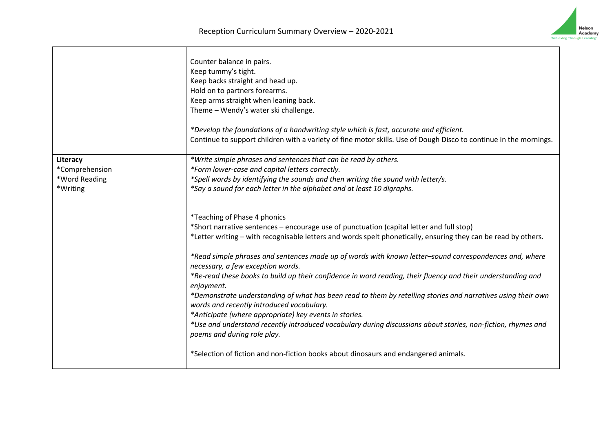|                                                         | Counter balance in pairs.<br>Keep tummy's tight.<br>Keep backs straight and head up.<br>Hold on to partners forearms.<br>Keep arms straight when leaning back.<br>Theme - Wendy's water ski challenge.                                                                                                                                                                                                                                                                                                                                                                                                                                                                                                                                 |
|---------------------------------------------------------|----------------------------------------------------------------------------------------------------------------------------------------------------------------------------------------------------------------------------------------------------------------------------------------------------------------------------------------------------------------------------------------------------------------------------------------------------------------------------------------------------------------------------------------------------------------------------------------------------------------------------------------------------------------------------------------------------------------------------------------|
|                                                         | *Develop the foundations of a handwriting style which is fast, accurate and efficient.<br>Continue to support children with a variety of fine motor skills. Use of Dough Disco to continue in the mornings.                                                                                                                                                                                                                                                                                                                                                                                                                                                                                                                            |
| Literacy<br>*Comprehension<br>*Word Reading<br>*Writing | *Write simple phrases and sentences that can be read by others.<br>*Form lower-case and capital letters correctly.<br>*Spell words by identifying the sounds and then writing the sound with letter/s.<br>*Say a sound for each letter in the alphabet and at least 10 digraphs.                                                                                                                                                                                                                                                                                                                                                                                                                                                       |
|                                                         | *Teaching of Phase 4 phonics<br>*Short narrative sentences - encourage use of punctuation (capital letter and full stop)<br>*Letter writing - with recognisable letters and words spelt phonetically, ensuring they can be read by others.                                                                                                                                                                                                                                                                                                                                                                                                                                                                                             |
|                                                         | *Read simple phrases and sentences made up of words with known letter-sound correspondences and, where<br>necessary, a few exception words.<br>*Re-read these books to build up their confidence in word reading, their fluency and their understanding and<br>enjoyment.<br>*Demonstrate understanding of what has been read to them by retelling stories and narratives using their own<br>words and recently introduced vocabulary.<br>*Anticipate (where appropriate) key events in stories.<br>*Use and understand recently introduced vocabulary during discussions about stories, non-fiction, rhymes and<br>poems and during role play.<br>*Selection of fiction and non-fiction books about dinosaurs and endangered animals. |

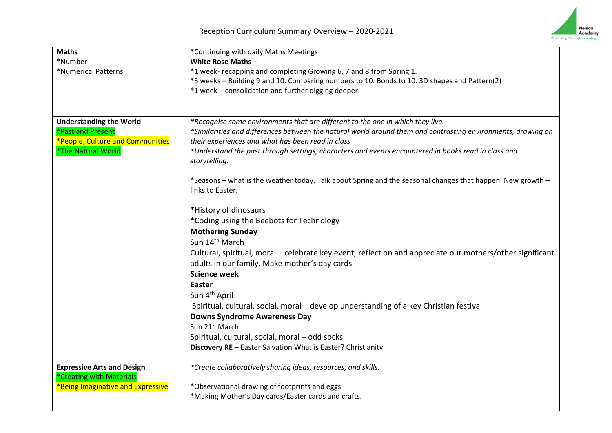

| <b>Maths</b>                      | *Continuing with daily Maths Meetings                                                                        |
|-----------------------------------|--------------------------------------------------------------------------------------------------------------|
| *Number                           | White Rose Maths-                                                                                            |
| *Numerical Patterns               | *1 week- recapping and completing Growing 6, 7 and 8 from Spring 1.                                          |
|                                   | *3 weeks - Building 9 and 10. Comparing numbers to 10. Bonds to 10. 3D shapes and Pattern(2)                 |
|                                   | *1 week - consolidation and further digging deeper.                                                          |
|                                   |                                                                                                              |
|                                   |                                                                                                              |
| <b>Understanding the World</b>    | *Recognise some environments that are different to the one in which they live.                               |
| *Past and Present                 | *Similarities and differences between the natural world around them and contrasting environments, drawing on |
| *People, Culture and Communities  | their experiences and what has been read in class                                                            |
| *The Natural World                | *Understand the past through settings, characters and events encountered in books read in class and          |
|                                   | storytelling.                                                                                                |
|                                   | *Seasons – what is the weather today. Talk about Spring and the seasonal changes that happen. New growth –   |
|                                   | links to Easter.                                                                                             |
|                                   |                                                                                                              |
|                                   | *History of dinosaurs                                                                                        |
|                                   | *Coding using the Beebots for Technology                                                                     |
|                                   | <b>Mothering Sunday</b>                                                                                      |
|                                   | Sun 14 <sup>th</sup> March                                                                                   |
|                                   | Cultural, spiritual, moral - celebrate key event, reflect on and appreciate our mothers/other significant    |
|                                   | adults in our family. Make mother's day cards                                                                |
|                                   | <b>Science week</b>                                                                                          |
|                                   | <b>Easter</b>                                                                                                |
|                                   | Sun 4 <sup>th</sup> April                                                                                    |
|                                   | Spiritual, cultural, social, moral - develop understanding of a key Christian festival                       |
|                                   | <b>Downs Syndrome Awareness Day</b>                                                                          |
|                                   | Sun 21 <sup>st</sup> March                                                                                   |
|                                   | Spiritual, cultural, social, moral - odd socks                                                               |
|                                   | Discovery RE - Easter Salvation What is Easter? Christianity                                                 |
|                                   |                                                                                                              |
| <b>Expressive Arts and Design</b> | *Create collaboratively sharing ideas, resources, and skills.                                                |
| *Creating with Materials          |                                                                                                              |
| *Being Imaginative and Expressive | *Observational drawing of footprints and eggs                                                                |
|                                   | *Making Mother's Day cards/Easter cards and crafts.                                                          |
|                                   |                                                                                                              |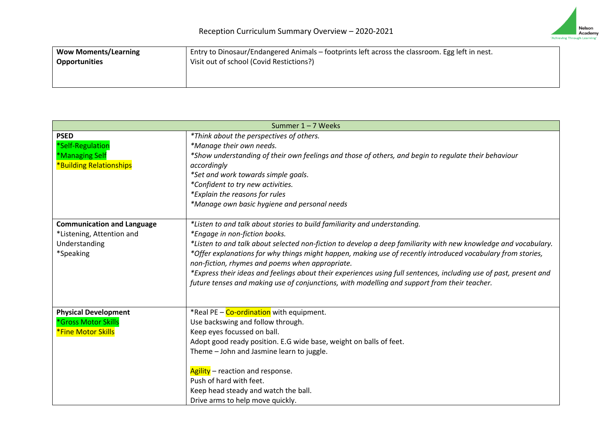

| <b>Wow Moments/Learning</b> | Entry to Dinosaur/Endangered Animals - footprints left across the classroom. Egg left in nest. |
|-----------------------------|------------------------------------------------------------------------------------------------|
| <b>Opportunities</b>        | Visit out of school (Covid Restictions?)                                                       |
|                             |                                                                                                |
|                             |                                                                                                |

| Summer 1-7 Weeks                  |                                                                                                                    |
|-----------------------------------|--------------------------------------------------------------------------------------------------------------------|
| <b>PSED</b>                       | *Think about the perspectives of others.                                                                           |
| *Self-Regulation                  | *Manage their own needs.                                                                                           |
| *Managing Self                    | *Show understanding of their own feelings and those of others, and begin to regulate their behaviour               |
| <b>*Building Relationships</b>    | accordingly                                                                                                        |
|                                   | *Set and work towards simple goals.                                                                                |
|                                   | *Confident to try new activities.                                                                                  |
|                                   | *Explain the reasons for rules                                                                                     |
|                                   | *Manage own basic hygiene and personal needs                                                                       |
|                                   |                                                                                                                    |
| <b>Communication and Language</b> | *Listen to and talk about stories to build familiarity and understanding.                                          |
| *Listening, Attention and         | *Engage in non-fiction books.                                                                                      |
| Understanding                     | *Listen to and talk about selected non-fiction to develop a deep familiarity with new knowledge and vocabulary.    |
| *Speaking                         | *Offer explanations for why things might happen, making use of recently introduced vocabulary from stories,        |
|                                   | non-fiction, rhymes and poems when appropriate.                                                                    |
|                                   | *Express their ideas and feelings about their experiences using full sentences, including use of past, present and |
|                                   | future tenses and making use of conjunctions, with modelling and support from their teacher.                       |
|                                   |                                                                                                                    |
| <b>Physical Development</b>       | *Real PE - Co-ordination with equipment.                                                                           |
| *Gross Motor Skills               | Use backswing and follow through.                                                                                  |
| <b>*Fine Motor Skills</b>         | Keep eyes focussed on ball.                                                                                        |
|                                   | Adopt good ready position. E.G wide base, weight on balls of feet.                                                 |
|                                   | Theme - John and Jasmine learn to juggle.                                                                          |
|                                   |                                                                                                                    |
|                                   | Agility - reaction and response.                                                                                   |
|                                   | Push of hard with feet.                                                                                            |
|                                   | Keep head steady and watch the ball.                                                                               |
|                                   | Drive arms to help move quickly.                                                                                   |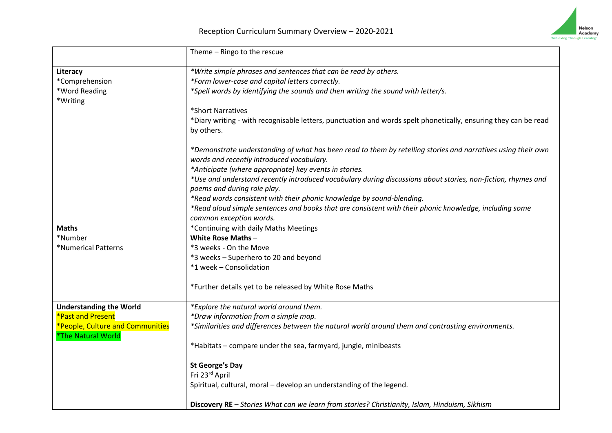

|                                  | Theme - Ringo to the rescue                                                                                                                               |
|----------------------------------|-----------------------------------------------------------------------------------------------------------------------------------------------------------|
| Literacy                         | *Write simple phrases and sentences that can be read by others.                                                                                           |
| *Comprehension                   | *Form lower-case and capital letters correctly.                                                                                                           |
| *Word Reading<br>*Writing        | *Spell words by identifying the sounds and then writing the sound with letter/s.                                                                          |
|                                  | *Short Narratives                                                                                                                                         |
|                                  | *Diary writing - with recognisable letters, punctuation and words spelt phonetically, ensuring they can be read                                           |
|                                  | by others.                                                                                                                                                |
|                                  | *Demonstrate understanding of what has been read to them by retelling stories and narratives using their own<br>words and recently introduced vocabulary. |
|                                  | *Anticipate (where appropriate) key events in stories.                                                                                                    |
|                                  | *Use and understand recently introduced vocabulary during discussions about stories, non-fiction, rhymes and<br>poems and during role play.               |
|                                  | *Read words consistent with their phonic knowledge by sound-blending.                                                                                     |
|                                  | *Read aloud simple sentences and books that are consistent with their phonic knowledge, including some                                                    |
|                                  | common exception words.                                                                                                                                   |
| <b>Maths</b>                     | *Continuing with daily Maths Meetings                                                                                                                     |
| *Number                          | <b>White Rose Maths-</b>                                                                                                                                  |
| *Numerical Patterns              | *3 weeks - On the Move                                                                                                                                    |
|                                  | *3 weeks - Superhero to 20 and beyond                                                                                                                     |
|                                  | *1 week - Consolidation                                                                                                                                   |
|                                  | *Further details yet to be released by White Rose Maths                                                                                                   |
| <b>Understanding the World</b>   | *Explore the natural world around them.                                                                                                                   |
| *Past and Present                | *Draw information from a simple map.                                                                                                                      |
| *People, Culture and Communities | *Similarities and differences between the natural world around them and contrasting environments.                                                         |
| *The Natural World               |                                                                                                                                                           |
|                                  | *Habitats - compare under the sea, farmyard, jungle, minibeasts                                                                                           |
|                                  | <b>St George's Day</b>                                                                                                                                    |
|                                  | Fri 23rd April                                                                                                                                            |
|                                  | Spiritual, cultural, moral - develop an understanding of the legend.                                                                                      |
|                                  | Discovery RE - Stories What can we learn from stories? Christianity, Islam, Hinduism, Sikhism                                                             |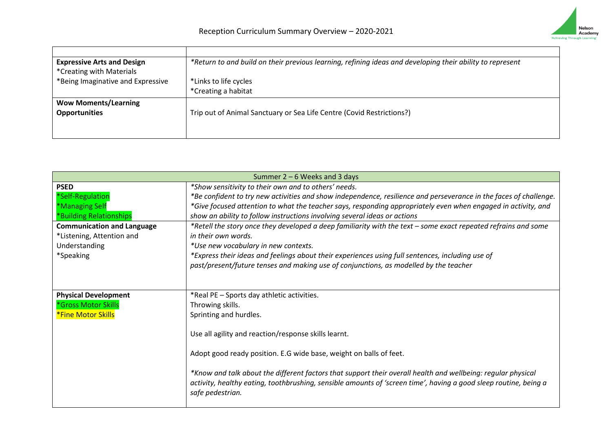

| <b>Expressive Arts and Design</b> | *Return to and build on their previous learning, refining ideas and developing their ability to represent |
|-----------------------------------|-----------------------------------------------------------------------------------------------------------|
| *Creating with Materials          |                                                                                                           |
| *Being Imaginative and Expressive | *Links to life cycles                                                                                     |
|                                   | *Creating a habitat                                                                                       |
| <b>Wow Moments/Learning</b>       |                                                                                                           |
| <b>Opportunities</b>              | Trip out of Animal Sanctuary or Sea Life Centre (Covid Restrictions?)                                     |
|                                   |                                                                                                           |
|                                   |                                                                                                           |

| Summer $2 - 6$ Weeks and 3 days   |                                                                                                                   |
|-----------------------------------|-------------------------------------------------------------------------------------------------------------------|
| <b>PSED</b>                       | *Show sensitivity to their own and to others' needs.                                                              |
| *Self-Regulation                  | *Be confident to try new activities and show independence, resilience and perseverance in the faces of challenge. |
| *Managing Self                    | *Give focused attention to what the teacher says, responding appropriately even when engaged in activity, and     |
| *Building Relationships           | show an ability to follow instructions involving several ideas or actions                                         |
| <b>Communication and Language</b> | *Retell the story once they developed a deep familiarity with the text – some exact repeated refrains and some    |
| *Listening, Attention and         | in their own words.                                                                                               |
| Understanding                     | *Use new vocabulary in new contexts.                                                                              |
| *Speaking                         | *Express their ideas and feelings about their experiences using full sentences, including use of                  |
|                                   | past/present/future tenses and making use of conjunctions, as modelled by the teacher                             |
|                                   |                                                                                                                   |
| <b>Physical Development</b>       | *Real PE - Sports day athletic activities.                                                                        |
| *Gross Motor Skills               | Throwing skills.                                                                                                  |
| <b>*Fine Motor Skills</b>         | Sprinting and hurdles.                                                                                            |
|                                   |                                                                                                                   |
|                                   | Use all agility and reaction/response skills learnt.                                                              |
|                                   |                                                                                                                   |
|                                   | Adopt good ready position. E.G wide base, weight on balls of feet.                                                |
|                                   |                                                                                                                   |
|                                   | *Know and talk about the different factors that support their overall health and wellbeing: regular physical      |
|                                   | activity, healthy eating, toothbrushing, sensible amounts of 'screen time', having a good sleep routine, being a  |
|                                   | safe pedestrian.                                                                                                  |
|                                   |                                                                                                                   |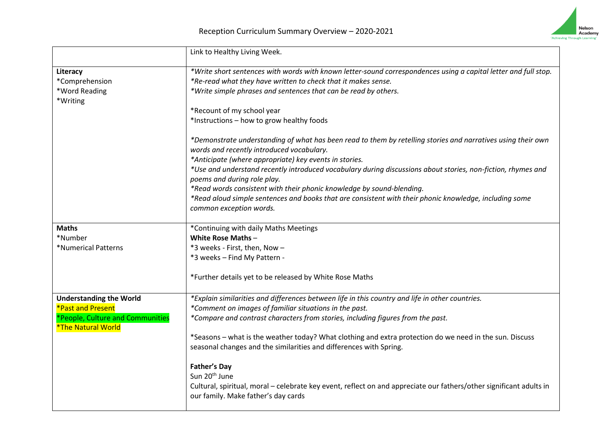

|                                                                      | Link to Healthy Living Week.                                                                                                                               |
|----------------------------------------------------------------------|------------------------------------------------------------------------------------------------------------------------------------------------------------|
| Literacy                                                             | *Write short sentences with words with known letter-sound correspondences using a capital letter and full stop.                                            |
| *Comprehension                                                       | *Re-read what they have written to check that it makes sense.                                                                                              |
| *Word Reading<br>*Writing                                            | *Write simple phrases and sentences that can be read by others.                                                                                            |
|                                                                      | *Recount of my school year                                                                                                                                 |
|                                                                      | *Instructions - how to grow healthy foods                                                                                                                  |
|                                                                      | *Demonstrate understanding of what has been read to them by retelling stories and narratives using their own<br>words and recently introduced vocabulary.  |
|                                                                      | *Anticipate (where appropriate) key events in stories.                                                                                                     |
|                                                                      | *Use and understand recently introduced vocabulary during discussions about stories, non-fiction, rhymes and<br>poems and during role play.                |
|                                                                      | *Read words consistent with their phonic knowledge by sound-blending.                                                                                      |
|                                                                      | *Read aloud simple sentences and books that are consistent with their phonic knowledge, including some<br>common exception words.                          |
| <b>Maths</b>                                                         | *Continuing with daily Maths Meetings                                                                                                                      |
| *Number                                                              | White Rose Maths-                                                                                                                                          |
| *Numerical Patterns                                                  | *3 weeks - First, then, Now -                                                                                                                              |
|                                                                      | *3 weeks - Find My Pattern -                                                                                                                               |
|                                                                      | *Further details yet to be released by White Rose Maths                                                                                                    |
| <b>Understanding the World</b>                                       | *Explain similarities and differences between life in this country and life in other countries.                                                            |
| <b>*Past and Present</b>                                             | *Comment on images of familiar situations in the past.                                                                                                     |
| *People, Culture and Communities<br><i><b>*The Natural World</b></i> | *Compare and contrast characters from stories, including figures from the past.                                                                            |
|                                                                      | *Seasons – what is the weather today? What clothing and extra protection do we need in the sun. Discuss                                                    |
|                                                                      | seasonal changes and the similarities and differences with Spring.                                                                                         |
|                                                                      | <b>Father's Day</b>                                                                                                                                        |
|                                                                      | Sun 20 <sup>th</sup> June                                                                                                                                  |
|                                                                      | Cultural, spiritual, moral - celebrate key event, reflect on and appreciate our fathers/other significant adults in<br>our family. Make father's day cards |